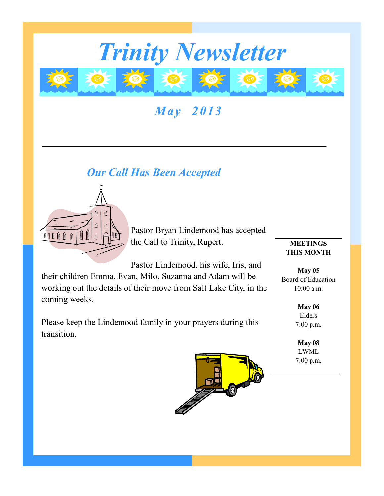

*May 2013*

# *Our Call Has Been Accepted*



Pastor Bryan Lindemood has accepted the Call to Trinity, Rupert.

Pastor Lindemood, his wife, Iris, and

their children Emma, Evan, Milo, Suzanna and Adam will be working out the details of their move from Salt Lake City, in the coming weeks.

Please keep the Lindemood family in your prayers during this transition.



**May 05** Board of Education 10:00 a.m.

> **May 06** Elders 7:00 p.m.

**May 08** LWML 7:00 p.m.

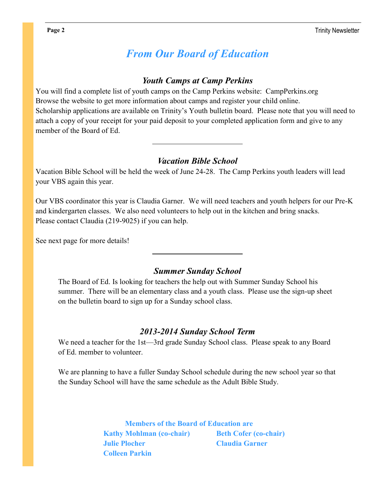## *From Our Board of Education*

### *Youth Camps at Camp Perkins*

You will find a complete list of youth camps on the Camp Perkins website: CampPerkins.org Browse the website to get more information about camps and register your child online. Scholarship applications are available on Trinity's Youth bulletin board. Please note that you will need to attach a copy of your receipt for your paid deposit to your completed application form and give to any member of the Board of Ed.

### *Vacation Bible School*

Vacation Bible School will be held the week of June 24-28. The Camp Perkins youth leaders will lead your VBS again this year.

Our VBS coordinator this year is Claudia Garner. We will need teachers and youth helpers for our Pre-K and kindergarten classes. We also need volunteers to help out in the kitchen and bring snacks. Please contact Claudia (219-9025) if you can help.

See next page for more details!

#### *Summer Sunday School*

The Board of Ed. Is looking for teachers the help out with Summer Sunday School his summer. There will be an elementary class and a youth class. Please use the sign-up sheet on the bulletin board to sign up for a Sunday school class.

#### *2013-2014 Sunday School Term*

We need a teacher for the 1st—3rd grade Sunday School class. Please speak to any Board of Ed. member to volunteer.

We are planning to have a fuller Sunday School schedule during the new school year so that the Sunday School will have the same schedule as the Adult Bible Study.

> **Members of the Board of Education are Kathy Mohlman (co-chair) Beth Cofer (co-chair) Julie Plocher Claudia Garner Colleen Parkin**